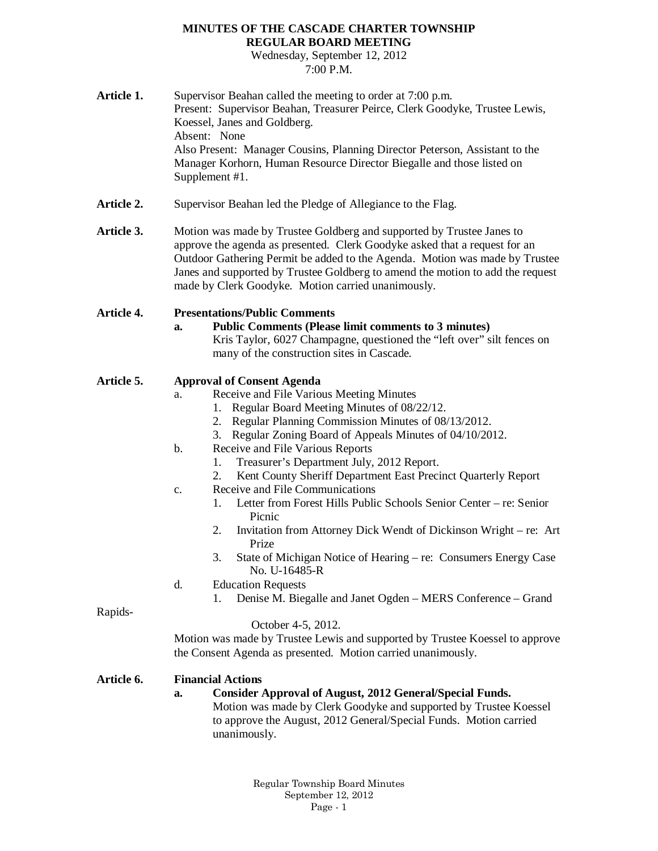### **MINUTES OF THE CASCADE CHARTER TOWNSHIP REGULAR BOARD MEETING**

Wednesday, September 12, 2012 7:00 P.M.

| Article 1.        | Supervisor Beahan called the meeting to order at 7:00 p.m.<br>Present: Supervisor Beahan, Treasurer Peirce, Clerk Goodyke, Trustee Lewis,<br>Koessel, Janes and Goldberg.<br>Absent: None<br>Also Present: Manager Cousins, Planning Director Peterson, Assistant to the                                                                                                   |
|-------------------|----------------------------------------------------------------------------------------------------------------------------------------------------------------------------------------------------------------------------------------------------------------------------------------------------------------------------------------------------------------------------|
|                   | Manager Korhorn, Human Resource Director Biegalle and those listed on<br>Supplement #1.                                                                                                                                                                                                                                                                                    |
| <b>Article 2.</b> | Supervisor Beahan led the Pledge of Allegiance to the Flag.                                                                                                                                                                                                                                                                                                                |
| Article 3.        | Motion was made by Trustee Goldberg and supported by Trustee Janes to<br>approve the agenda as presented. Clerk Goodyke asked that a request for an<br>Outdoor Gathering Permit be added to the Agenda. Motion was made by Trustee<br>Janes and supported by Trustee Goldberg to amend the motion to add the request<br>made by Clerk Goodyke. Motion carried unanimously. |
| <b>Article 4.</b> | <b>Presentations/Public Comments</b>                                                                                                                                                                                                                                                                                                                                       |
|                   | <b>Public Comments (Please limit comments to 3 minutes)</b><br>a.<br>Kris Taylor, 6027 Champagne, questioned the "left over" silt fences on<br>many of the construction sites in Cascade.                                                                                                                                                                                  |
| <b>Article 5.</b> | <b>Approval of Consent Agenda</b>                                                                                                                                                                                                                                                                                                                                          |
|                   | Receive and File Various Meeting Minutes<br>a.                                                                                                                                                                                                                                                                                                                             |
|                   | 1. Regular Board Meeting Minutes of 08/22/12.<br>2. Regular Planning Commission Minutes of 08/13/2012.                                                                                                                                                                                                                                                                     |
|                   | Regular Zoning Board of Appeals Minutes of 04/10/2012.<br>3.                                                                                                                                                                                                                                                                                                               |
|                   | Receive and File Various Reports<br>b.                                                                                                                                                                                                                                                                                                                                     |
|                   | Treasurer's Department July, 2012 Report.<br>1.                                                                                                                                                                                                                                                                                                                            |
|                   | Kent County Sheriff Department East Precinct Quarterly Report<br>2.                                                                                                                                                                                                                                                                                                        |
|                   | Receive and File Communications<br>c.                                                                                                                                                                                                                                                                                                                                      |
|                   | Letter from Forest Hills Public Schools Senior Center – re: Senior<br>1.<br>Picnic                                                                                                                                                                                                                                                                                         |
|                   | 2.<br>Invitation from Attorney Dick Wendt of Dickinson Wright – re: Art<br>Prize                                                                                                                                                                                                                                                                                           |
|                   | State of Michigan Notice of Hearing – re: Consumers Energy Case<br>3.<br>No. U-16485-R                                                                                                                                                                                                                                                                                     |
|                   | <b>Education Requests</b><br>d.                                                                                                                                                                                                                                                                                                                                            |
| Rapids-           | Denise M. Biegalle and Janet Ogden - MERS Conference - Grand<br>1.                                                                                                                                                                                                                                                                                                         |
|                   | October 4-5, 2012.                                                                                                                                                                                                                                                                                                                                                         |
|                   | Motion was made by Trustee Lewis and supported by Trustee Koessel to approve                                                                                                                                                                                                                                                                                               |
|                   | the Consent Agenda as presented. Motion carried unanimously.                                                                                                                                                                                                                                                                                                               |
| <b>Article 6.</b> | <b>Financial Actions</b>                                                                                                                                                                                                                                                                                                                                                   |
|                   | <b>Consider Approval of August, 2012 General/Special Funds.</b><br>a.                                                                                                                                                                                                                                                                                                      |
|                   | Motion was made by Clerk Goodyke and supported by Trustee Koessel                                                                                                                                                                                                                                                                                                          |
|                   | to approve the August, 2012 General/Special Funds. Motion carried<br>unanimously.                                                                                                                                                                                                                                                                                          |
|                   |                                                                                                                                                                                                                                                                                                                                                                            |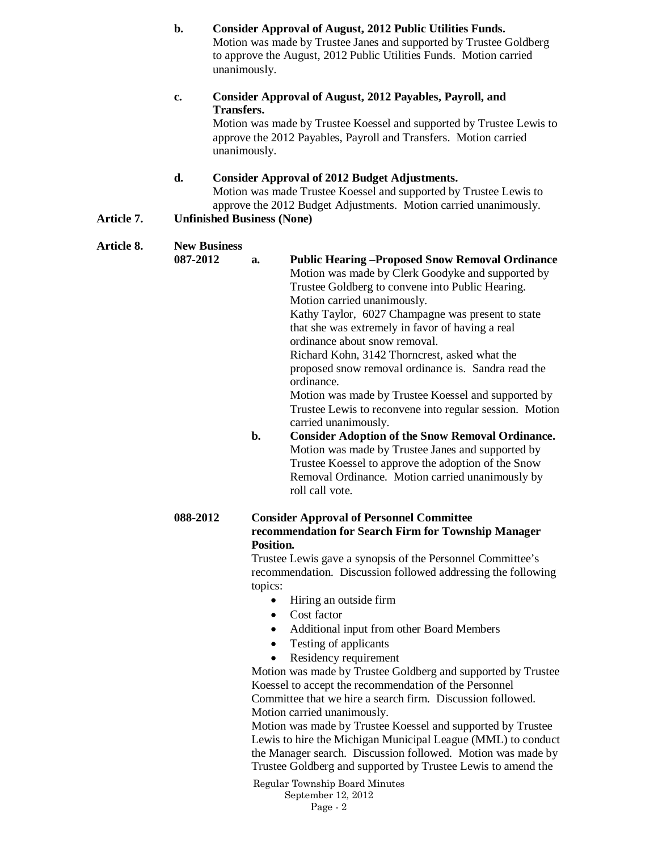**b. Consider Approval of August, 2012 Public Utilities Funds.** Motion was made by Trustee Janes and supported by Trustee Goldberg to approve the August, 2012 Public Utilities Funds. Motion carried unanimously. **c. Consider Approval of August, 2012 Payables, Payroll, and Transfers.** Motion was made by Trustee Koessel and supported by Trustee Lewis to approve the 2012 Payables, Payroll and Transfers. Motion carried unanimously. **d. Consider Approval of 2012 Budget Adjustments.** Motion was made Trustee Koessel and supported by Trustee Lewis to approve the 2012 Budget Adjustments. Motion carried unanimously. **Article 7. Unfinished Business (None) Article 8. New Business 087-2012 a. Public Hearing –Proposed Snow Removal Ordinance** Motion was made by Clerk Goodyke and supported by Trustee Goldberg to convene into Public Hearing. Motion carried unanimously. Kathy Taylor, 6027 Champagne was present to state that she was extremely in favor of having a real ordinance about snow removal. Richard Kohn, 3142 Thorncrest, asked what the proposed snow removal ordinance is. Sandra read the ordinance. Motion was made by Trustee Koessel and supported by Trustee Lewis to reconvene into regular session. Motion carried unanimously. **b. Consider Adoption of the Snow Removal Ordinance.** Motion was made by Trustee Janes and supported by

Trustee Koessel to approve the adoption of the Snow Removal Ordinance. Motion carried unanimously by roll call vote.

#### **088-2012 Consider Approval of Personnel Committee recommendation for Search Firm for Township Manager Position.**

Trustee Lewis gave a synopsis of the Personnel Committee's recommendation. Discussion followed addressing the following topics:

- Hiring an outside firm
- Cost factor
- Additional input from other Board Members
- Testing of applicants
- Residency requirement

Motion was made by Trustee Goldberg and supported by Trustee Koessel to accept the recommendation of the Personnel Committee that we hire a search firm. Discussion followed. Motion carried unanimously.

Motion was made by Trustee Koessel and supported by Trustee Lewis to hire the Michigan Municipal League (MML) to conduct the Manager search. Discussion followed. Motion was made by Trustee Goldberg and supported by Trustee Lewis to amend the

Regular Township Board Minutes September 12, 2012 Page - 2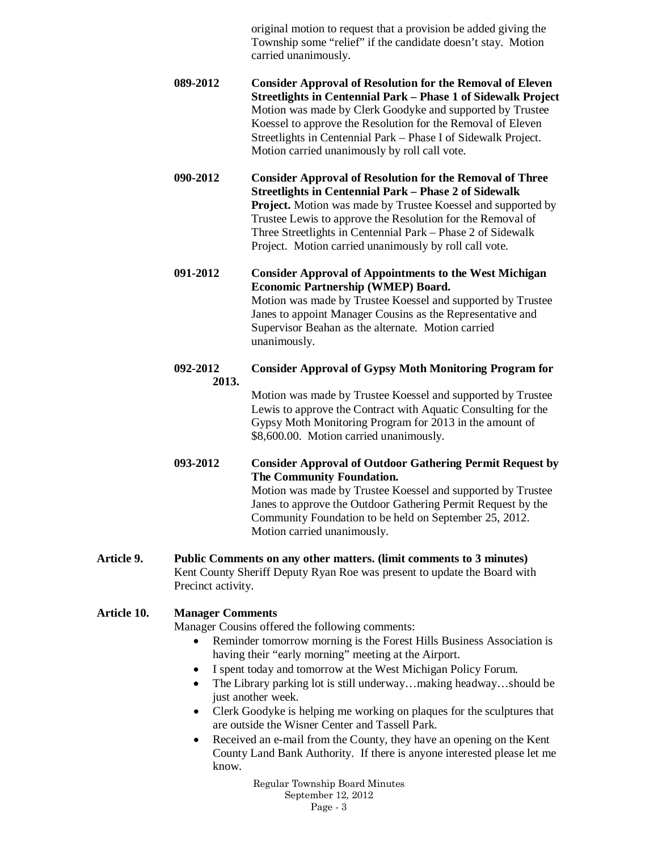original motion to request that a provision be added giving the Township some "relief" if the candidate doesn't stay. Motion carried unanimously.

- **089-2012 Consider Approval of Resolution for the Removal of Eleven Streetlights in Centennial Park – Phase 1 of Sidewalk Project** Motion was made by Clerk Goodyke and supported by Trustee Koessel to approve the Resolution for the Removal of Eleven Streetlights in Centennial Park – Phase I of Sidewalk Project. Motion carried unanimously by roll call vote.
- **090-2012 Consider Approval of Resolution for the Removal of Three Streetlights in Centennial Park – Phase 2 of Sidewalk Project.** Motion was made by Trustee Koessel and supported by Trustee Lewis to approve the Resolution for the Removal of Three Streetlights in Centennial Park – Phase 2 of Sidewalk Project. Motion carried unanimously by roll call vote.
- **091-2012 Consider Approval of Appointments to the West Michigan Economic Partnership (WMEP) Board.** Motion was made by Trustee Koessel and supported by Trustee Janes to appoint Manager Cousins as the Representative and Supervisor Beahan as the alternate. Motion carried unanimously.
- **092-2012 Consider Approval of Gypsy Moth Monitoring Program for 2013.**

Motion was made by Trustee Koessel and supported by Trustee Lewis to approve the Contract with Aquatic Consulting for the Gypsy Moth Monitoring Program for 2013 in the amount of \$8,600.00. Motion carried unanimously.

**093-2012 Consider Approval of Outdoor Gathering Permit Request by The Community Foundation.**

Motion was made by Trustee Koessel and supported by Trustee Janes to approve the Outdoor Gathering Permit Request by the Community Foundation to be held on September 25, 2012. Motion carried unanimously.

**Article 9. Public Comments on any other matters. (limit comments to 3 minutes)** Kent County Sheriff Deputy Ryan Roe was present to update the Board with Precinct activity.

# **Article 10. Manager Comments**

Manager Cousins offered the following comments:

- Reminder tomorrow morning is the Forest Hills Business Association is having their "early morning" meeting at the Airport.
- I spent today and tomorrow at the West Michigan Policy Forum.
- The Library parking lot is still underway…making headway…should be just another week.
- Clerk Goodyke is helping me working on plaques for the sculptures that are outside the Wisner Center and Tassell Park.
- Received an e-mail from the County, they have an opening on the Kent County Land Bank Authority. If there is anyone interested please let me know.

Regular Township Board Minutes September 12, 2012 Page - 3